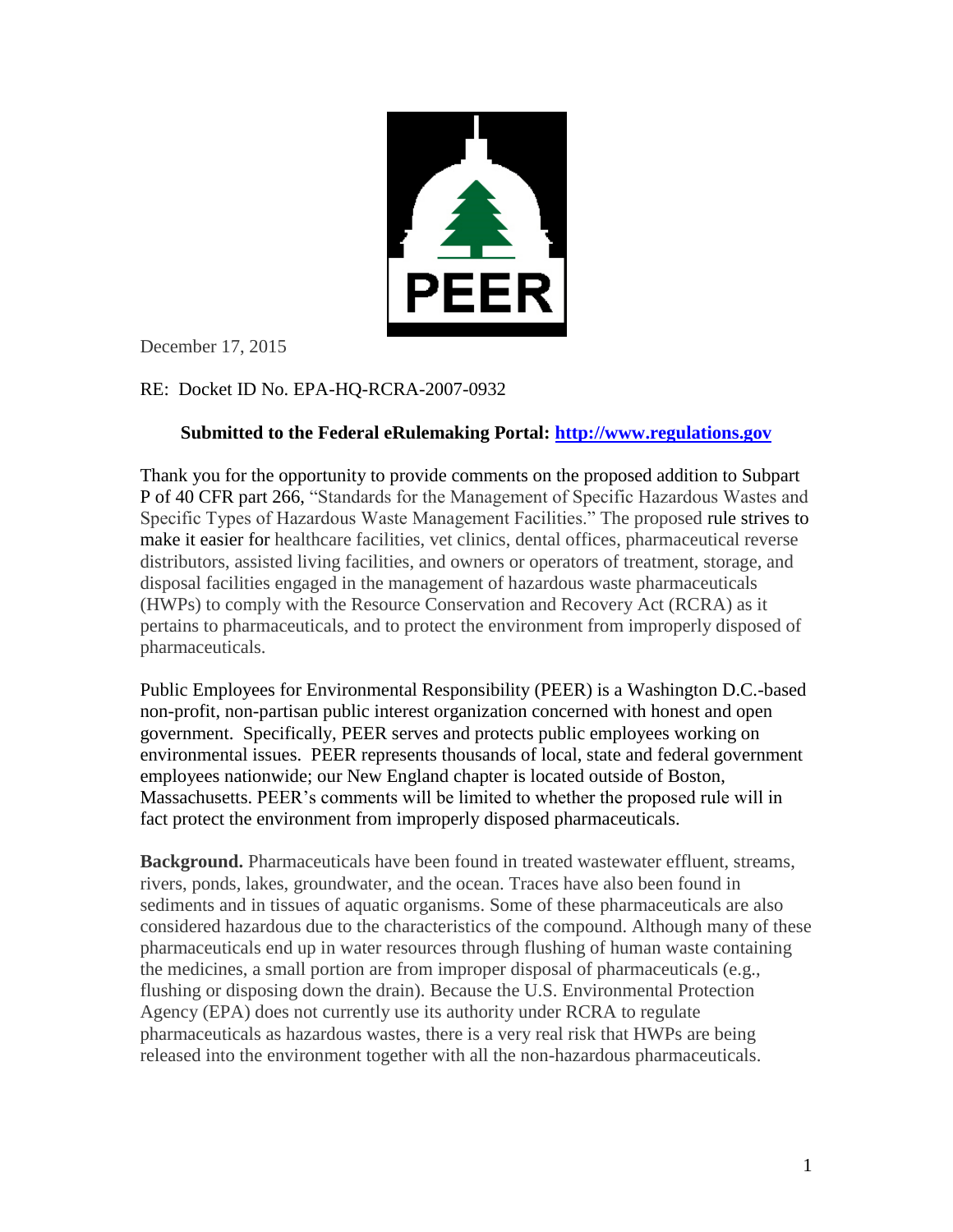

December 17, 2015

## RE: Docket ID No. EPA-HQ-RCRA-2007-0932

## **Submitted to the Federal eRulemaking Portal: [http://www.regulations.gov](http://www.regulations.gov/)**

Thank you for the opportunity to provide comments on the proposed addition to Subpart P of 40 CFR part 266, "Standards for the Management of Specific Hazardous Wastes and Specific Types of Hazardous Waste Management Facilities." The proposed rule strives to make it easier for healthcare facilities, vet clinics, dental offices, pharmaceutical reverse distributors, assisted living facilities, and owners or operators of treatment, storage, and disposal facilities engaged in the management of hazardous waste pharmaceuticals (HWPs) to comply with the Resource Conservation and Recovery Act (RCRA) as it pertains to pharmaceuticals, and to protect the environment from improperly disposed of pharmaceuticals.

Public Employees for Environmental Responsibility (PEER) is a Washington D.C.-based non-profit, non-partisan public interest organization concerned with honest and open government. Specifically, PEER serves and protects public employees working on environmental issues. PEER represents thousands of local, state and federal government employees nationwide; our New England chapter is located outside of Boston, Massachusetts. PEER's comments will be limited to whether the proposed rule will in fact protect the environment from improperly disposed pharmaceuticals.

**Background.** Pharmaceuticals have been found in treated wastewater effluent, streams, rivers, ponds, lakes, groundwater, and the ocean. Traces have also been found in sediments and in tissues of aquatic organisms. Some of these pharmaceuticals are also considered hazardous due to the characteristics of the compound. Although many of these pharmaceuticals end up in water resources through flushing of human waste containing the medicines, a small portion are from improper disposal of pharmaceuticals (e.g., flushing or disposing down the drain). Because the U.S. Environmental Protection Agency (EPA) does not currently use its authority under RCRA to regulate pharmaceuticals as hazardous wastes, there is a very real risk that HWPs are being released into the environment together with all the non-hazardous pharmaceuticals.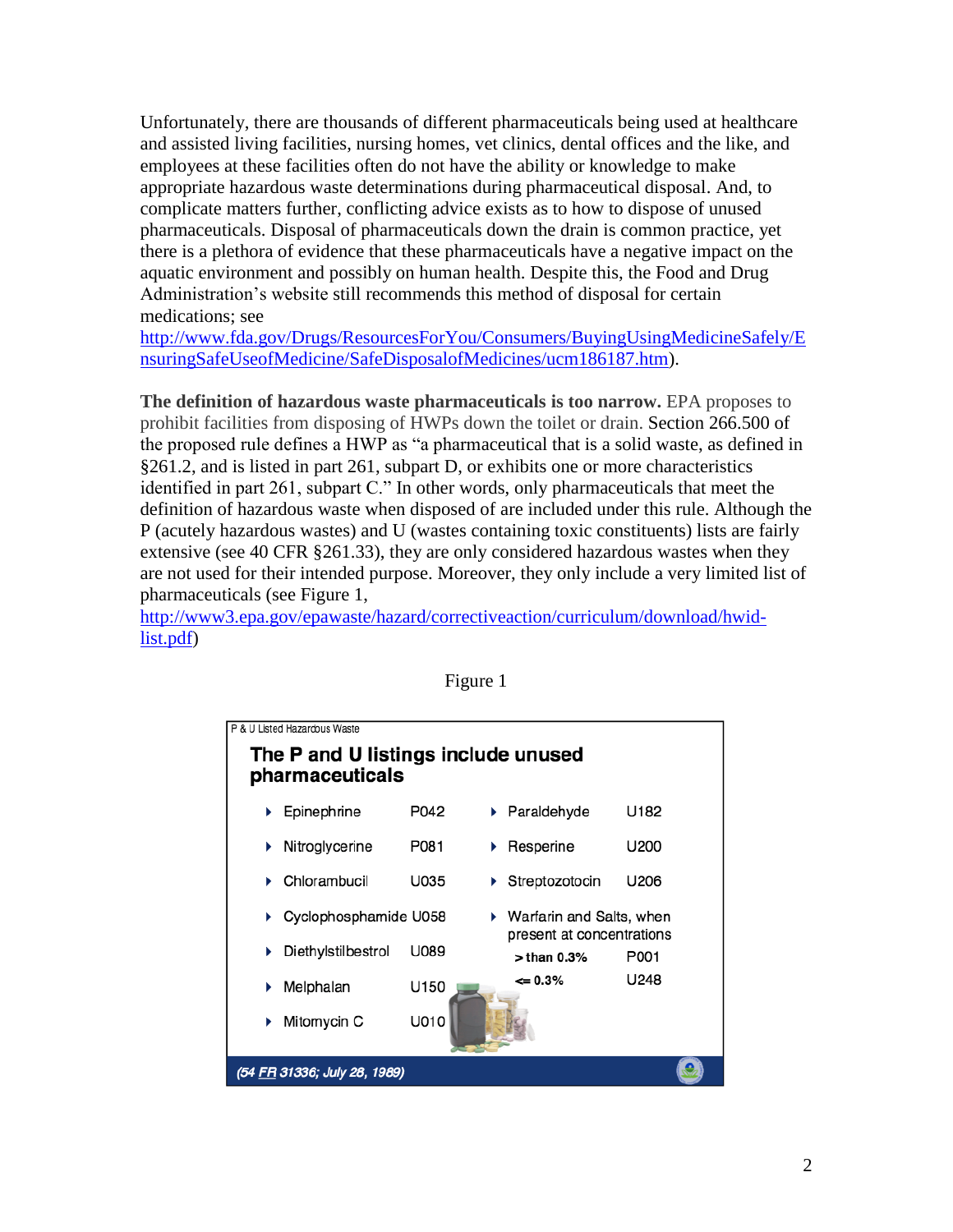Unfortunately, there are thousands of different pharmaceuticals being used at healthcare and assisted living facilities, nursing homes, vet clinics, dental offices and the like, and employees at these facilities often do not have the ability or knowledge to make appropriate hazardous waste determinations during pharmaceutical disposal. And, to complicate matters further, conflicting advice exists as to how to dispose of unused pharmaceuticals. Disposal of pharmaceuticals down the drain is common practice, yet there is a plethora of evidence that these pharmaceuticals have a negative impact on the aquatic environment and possibly on human health. Despite this, the Food and Drug Administration's website still recommends this method of disposal for certain medications; see

[http://www.fda.gov/Drugs/ResourcesForYou/Consumers/BuyingUsingMedicineSafely/E](http://www.fda.gov/Drugs/ResourcesForYou/Consumers/BuyingUsingMedicineSafely/EnsuringSafeUseofMedicine/SafeDisposalofMedicines/ucm186187.htm) [nsuringSafeUseofMedicine/SafeDisposalofMedicines/ucm186187.htm\)](http://www.fda.gov/Drugs/ResourcesForYou/Consumers/BuyingUsingMedicineSafely/EnsuringSafeUseofMedicine/SafeDisposalofMedicines/ucm186187.htm).

**The definition of hazardous waste pharmaceuticals is too narrow.** EPA proposes to prohibit facilities from disposing of HWPs down the toilet or drain. Section 266.500 of the proposed rule defines a HWP as "a pharmaceutical that is a solid waste, as defined in §261.2, and is listed in part 261, subpart D, or exhibits one or more characteristics identified in part 261, subpart C." In other words, only pharmaceuticals that meet the definition of hazardous waste when disposed of are included under this rule. Although the P (acutely hazardous wastes) and U (wastes containing toxic constituents) lists are fairly extensive (see 40 CFR §261.33), they are only considered hazardous wastes when they are not used for their intended purpose. Moreover, they only include a very limited list of pharmaceuticals (see Figure 1,

[http://www3.epa.gov/epawaste/hazard/correctiveaction/curriculum/download/hwid](http://www3.epa.gov/epawaste/hazard/correctiveaction/curriculum/download/hwid-list.pdf)[list.pdf\)](http://www3.epa.gov/epawaste/hazard/correctiveaction/curriculum/download/hwid-list.pdf)



Figure 1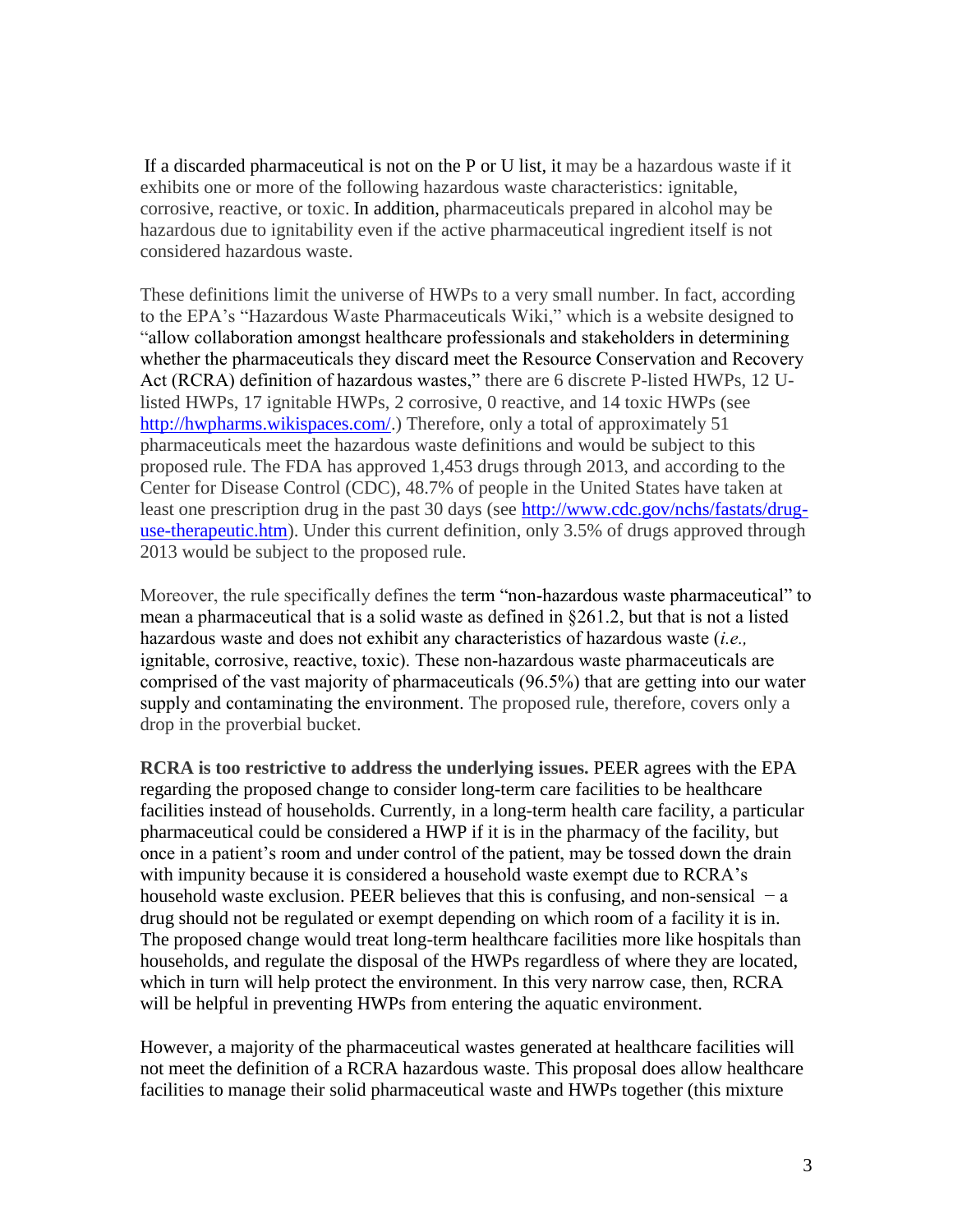If a discarded pharmaceutical is not on the P or U list, it may be a hazardous waste if it exhibits one or more of the following hazardous waste characteristics: ignitable, corrosive, reactive, or toxic. In addition, pharmaceuticals prepared in alcohol may be hazardous due to ignitability even if the active pharmaceutical ingredient itself is not considered hazardous waste.

These definitions limit the universe of HWPs to a very small number. In fact, according to the EPA's "Hazardous Waste Pharmaceuticals Wiki," which is a website designed to "allow collaboration amongst healthcare professionals and stakeholders in determining whether the pharmaceuticals they discard meet the Resource Conservation and Recovery Act (RCRA) definition of hazardous wastes," there are 6 discrete P-listed HWPs, 12 Ulisted HWPs, 17 ignitable HWPs, 2 corrosive, 0 reactive, and 14 toxic HWPs (see [http://hwpharms.wikispaces.com/.](http://hwpharms.wikispaces.com/)) Therefore, only a total of approximately 51 pharmaceuticals meet the hazardous waste definitions and would be subject to this proposed rule. The FDA has approved 1,453 drugs through 2013, and according to the Center for Disease Control (CDC), 48.7% of people in the United States have taken at least one prescription drug in the past 30 days (see [http://www.cdc.gov/nchs/fastats/drug](http://www.cdc.gov/nchs/fastats/drug-use-therapeutic.htm)[use-therapeutic.htm\)](http://www.cdc.gov/nchs/fastats/drug-use-therapeutic.htm). Under this current definition, only 3.5% of drugs approved through 2013 would be subject to the proposed rule.

Moreover, the rule specifically defines the term "non-hazardous waste pharmaceutical" to mean a pharmaceutical that is a solid waste as defined in §261.2, but that is not a listed hazardous waste and does not exhibit any characteristics of hazardous waste (*i.e.,* ignitable, corrosive, reactive, toxic). These non-hazardous waste pharmaceuticals are comprised of the vast majority of pharmaceuticals (96.5%) that are getting into our water supply and contaminating the environment. The proposed rule, therefore, covers only a drop in the proverbial bucket.

**RCRA is too restrictive to address the underlying issues.** PEER agrees with the EPA regarding the proposed change to consider long-term care facilities to be healthcare facilities instead of households. Currently, in a long-term health care facility, a particular pharmaceutical could be considered a HWP if it is in the pharmacy of the facility, but once in a patient's room and under control of the patient, may be tossed down the drain with impunity because it is considered a household waste exempt due to RCRA's household waste exclusion. PEER believes that this is confusing, and non-sensical  $-a$ drug should not be regulated or exempt depending on which room of a facility it is in. The proposed change would treat long-term healthcare facilities more like hospitals than households, and regulate the disposal of the HWPs regardless of where they are located, which in turn will help protect the environment. In this very narrow case, then, RCRA will be helpful in preventing HWPs from entering the aquatic environment.

However, a majority of the pharmaceutical wastes generated at healthcare facilities will not meet the definition of a RCRA hazardous waste. This proposal does allow healthcare facilities to manage their solid pharmaceutical waste and HWPs together (this mixture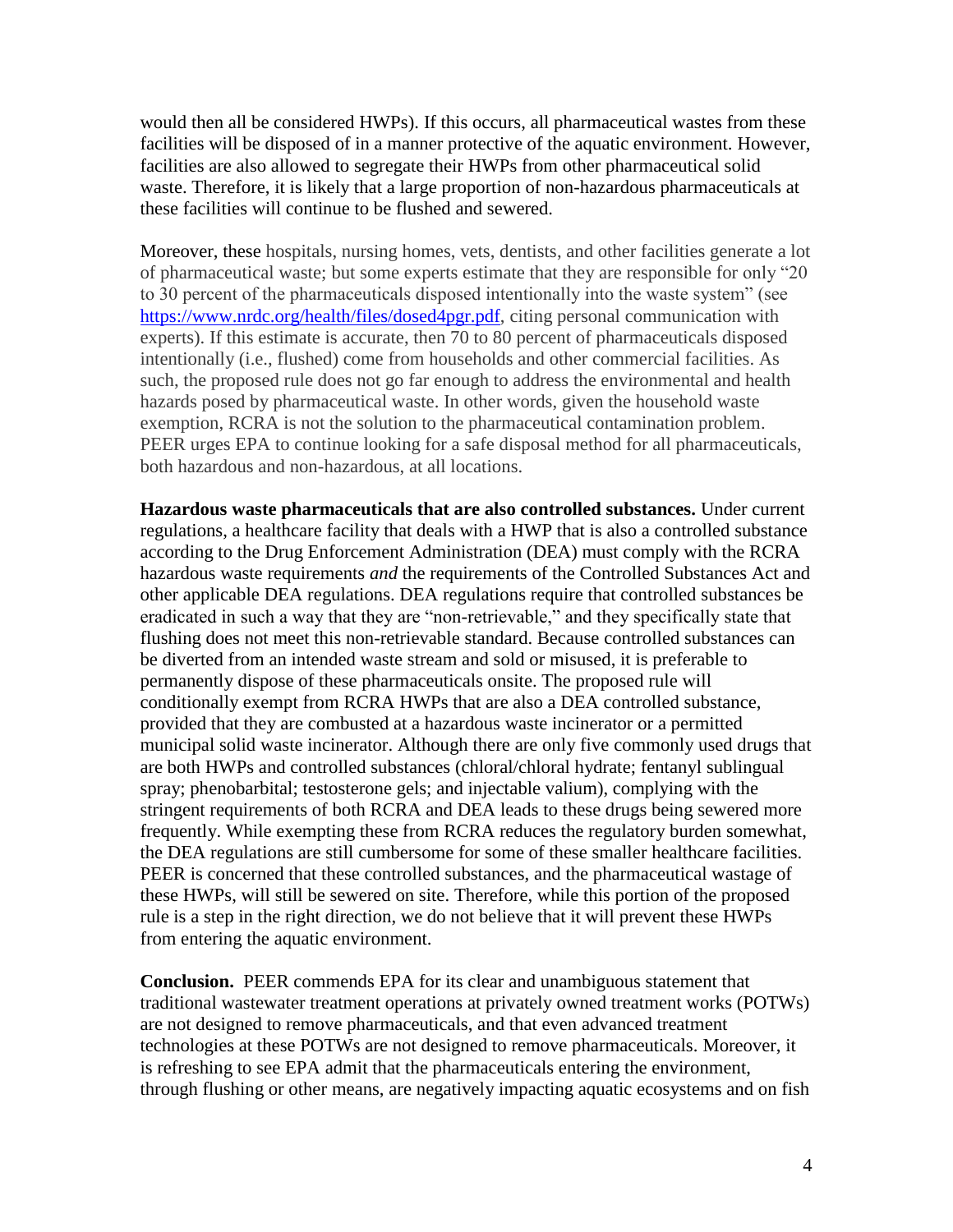would then all be considered HWPs). If this occurs, all pharmaceutical wastes from these facilities will be disposed of in a manner protective of the aquatic environment. However, facilities are also allowed to segregate their HWPs from other pharmaceutical solid waste. Therefore, it is likely that a large proportion of non-hazardous pharmaceuticals at these facilities will continue to be flushed and sewered.

Moreover, these hospitals, nursing homes, vets, dentists, and other facilities generate a lot of pharmaceutical waste; but some experts estimate that they are responsible for only "20 to 30 percent of the pharmaceuticals disposed intentionally into the waste system" (see [https://www.nrdc.org/health/files/dosed4pgr.pdf,](https://www.nrdc.org/health/files/dosed4pgr.pdf) citing personal communication with experts). If this estimate is accurate, then 70 to 80 percent of pharmaceuticals disposed intentionally (i.e., flushed) come from households and other commercial facilities. As such, the proposed rule does not go far enough to address the environmental and health hazards posed by pharmaceutical waste. In other words, given the household waste exemption, RCRA is not the solution to the pharmaceutical contamination problem. PEER urges EPA to continue looking for a safe disposal method for all pharmaceuticals, both hazardous and non-hazardous, at all locations.

**Hazardous waste pharmaceuticals that are also controlled substances.** Under current regulations, a healthcare facility that deals with a HWP that is also a controlled substance according to the Drug Enforcement Administration (DEA) must comply with the RCRA hazardous waste requirements *and* the requirements of the Controlled Substances Act and other applicable DEA regulations. DEA regulations require that controlled substances be eradicated in such a way that they are "non-retrievable," and they specifically state that flushing does not meet this non-retrievable standard. Because controlled substances can be diverted from an intended waste stream and sold or misused, it is preferable to permanently dispose of these pharmaceuticals onsite. The proposed rule will conditionally exempt from RCRA HWPs that are also a DEA controlled substance, provided that they are combusted at a hazardous waste incinerator or a permitted municipal solid waste incinerator. Although there are only five commonly used drugs that are both HWPs and controlled substances (chloral/chloral hydrate; fentanyl sublingual spray; phenobarbital; testosterone gels; and injectable valium), complying with the stringent requirements of both RCRA and DEA leads to these drugs being sewered more frequently. While exempting these from RCRA reduces the regulatory burden somewhat, the DEA regulations are still cumbersome for some of these smaller healthcare facilities. PEER is concerned that these controlled substances, and the pharmaceutical wastage of these HWPs, will still be sewered on site. Therefore, while this portion of the proposed rule is a step in the right direction, we do not believe that it will prevent these HWPs from entering the aquatic environment.

**Conclusion.** PEER commends EPA for its clear and unambiguous statement that traditional wastewater treatment operations at privately owned treatment works (POTWs) are not designed to remove pharmaceuticals, and that even advanced treatment technologies at these POTWs are not designed to remove pharmaceuticals. Moreover, it is refreshing to see EPA admit that the pharmaceuticals entering the environment, through flushing or other means, are negatively impacting aquatic ecosystems and on fish